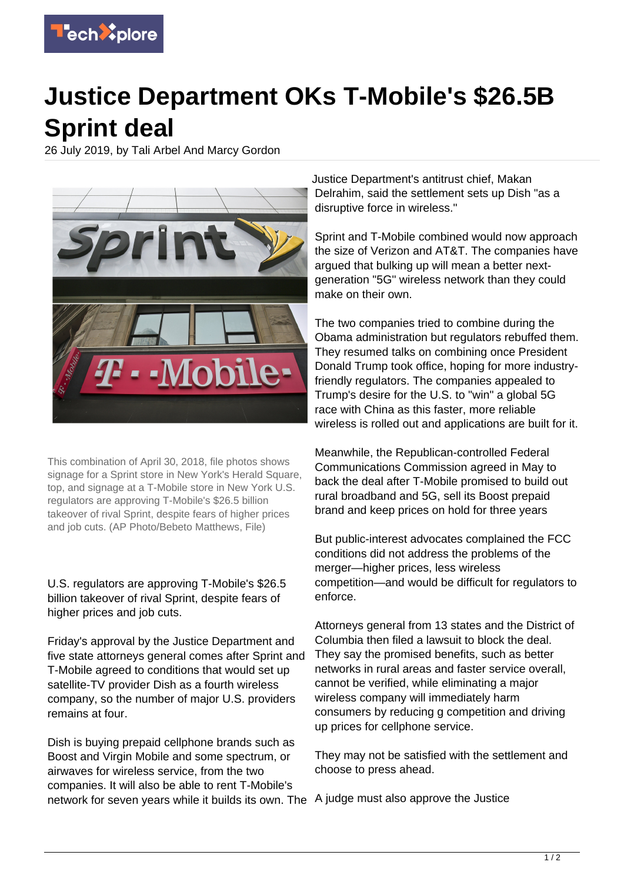

## **Justice Department OKs T-Mobile's \$26.5B Sprint deal**

26 July 2019, by Tali Arbel And Marcy Gordon



This combination of April 30, 2018, file photos shows signage for a Sprint store in New York's Herald Square, top, and signage at a T-Mobile store in New York U.S. regulators are approving T-Mobile's \$26.5 billion takeover of rival Sprint, despite fears of higher prices and job cuts. (AP Photo/Bebeto Matthews, File)

U.S. regulators are approving T-Mobile's \$26.5 billion takeover of rival Sprint, despite fears of higher prices and job cuts.

Friday's approval by the Justice Department and five state attorneys general comes after Sprint and T-Mobile agreed to conditions that would set up satellite-TV provider Dish as a fourth wireless company, so the number of major U.S. providers remains at four.

Dish is buying prepaid cellphone brands such as Boost and Virgin Mobile and some spectrum, or airwaves for wireless service, from the two companies. It will also be able to rent T-Mobile's network for seven years while it builds its own. The A judge must also approve the Justice

Justice Department's antitrust chief, Makan Delrahim, said the settlement sets up Dish "as a disruptive force in wireless."

Sprint and T-Mobile combined would now approach the size of Verizon and AT&T. The companies have argued that bulking up will mean a better nextgeneration "5G" wireless network than they could make on their own.

The two companies tried to combine during the Obama administration but regulators rebuffed them. They resumed talks on combining once President Donald Trump took office, hoping for more industryfriendly regulators. The companies appealed to Trump's desire for the U.S. to "win" a global 5G race with China as this faster, more reliable wireless is rolled out and applications are built for it.

Meanwhile, the Republican-controlled Federal Communications Commission agreed in May to back the deal after T-Mobile promised to build out rural broadband and 5G, sell its Boost prepaid brand and keep prices on hold for three years

But public-interest advocates complained the FCC conditions did not address the problems of the merger-higher prices, less wireless competition—and would be difficult for regulators to enforce.

Attorneys general from 13 states and the District of Columbia then filed a lawsuit to block the deal. They say the promised benefits, such as better networks in rural areas and faster service overall, cannot be verified, while eliminating a major wireless company will immediately harm consumers by reducing g competition and driving up prices for cellphone service.

They may not be satisfied with the settlement and choose to press ahead.